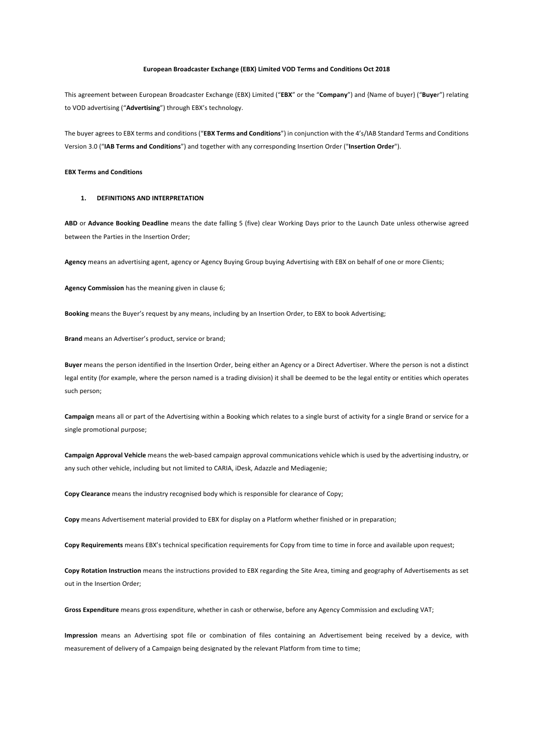#### **European Broadcaster Exchange (EBX) Limited VOD Terms and Conditions Oct 2018**

This agreement between European Broadcaster Exchange (EBX) Limited ("**EBX**" or the "**Company**") and {Name of buyer} ("**Buye**r") relating to VOD advertising ("**Advertising**") through EBX's technology.

The buyer agrees to EBX terms and conditions ("**EBX Terms and Conditions**") in conjunction with the 4's/IAB Standard Terms and Conditions Version 3.0 ("**IAB Terms and Conditions**") and together with any corresponding Insertion Order ("**Insertion Order**").

# **EBX Terms and Conditions**

#### **1. DEFINITIONS AND INTERPRETATION**

**ABD** or **Advance Booking Deadline** means the date falling 5 (five) clear Working Days prior to the Launch Date unless otherwise agreed between the Parties in the Insertion Order;

**Agency** means an advertising agent, agency or Agency Buying Group buying Advertising with EBX on behalf of one or more Clients;

**Agency Commission** has the meaning given in clause 6;

**Booking** means the Buyer's request by any means, including by an Insertion Order, to EBX to book Advertising;

**Brand** means an Advertiser's product, service or brand;

**Buyer** means the person identified in the Insertion Order, being either an Agency or a Direct Advertiser. Where the person is not a distinct legal entity (for example, where the person named is a trading division) it shall be deemed to be the legal entity or entities which operates such person;

**Campaign** means all or part of the Advertising within a Booking which relates to a single burst of activity for a single Brand or service for a single promotional purpose;

**Campaign Approval Vehicle** means the web-based campaign approval communications vehicle which is used by the advertising industry, or any such other vehicle, including but not limited to CARIA, iDesk, Adazzle and Mediagenie;

**Copy Clearance** means the industry recognised body which is responsible for clearance of Copy;

**Copy** means Advertisement material provided to EBX for display on a Platform whether finished or in preparation;

**Copy Requirements** means EBX's technical specification requirements for Copy from time to time in force and available upon request;

**Copy Rotation Instruction** means the instructions provided to EBX regarding the Site Area, timing and geography of Advertisements as set out in the Insertion Order;

**Gross Expenditure** means gross expenditure, whether in cash or otherwise, before any Agency Commission and excluding VAT;

**Impression** means an Advertising spot file or combination of files containing an Advertisement being received by a device, with measurement of delivery of a Campaign being designated by the relevant Platform from time to time;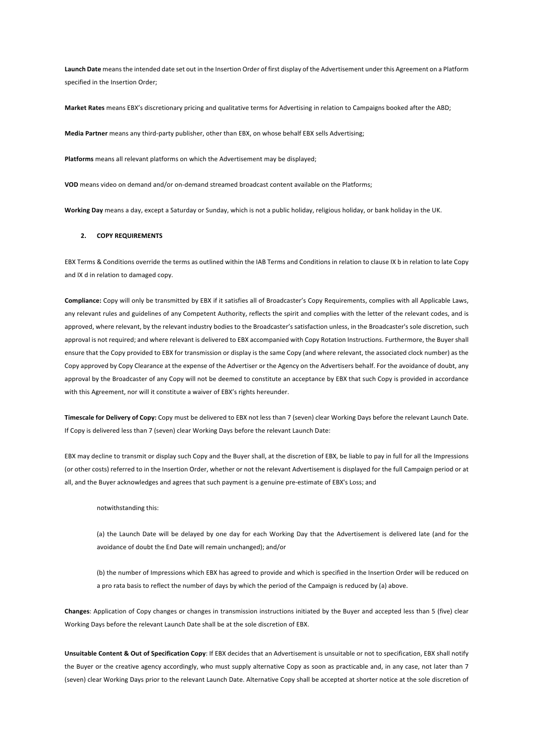**Launch Date** means the intended date set out in the Insertion Order of first display of the Advertisement under this Agreement on a Platform specified in the Insertion Order;

**Market Rates** means EBX's discretionary pricing and qualitative terms for Advertising in relation to Campaigns booked after the ABD;

**Media Partner** means any third-party publisher, other than EBX, on whose behalf EBX sells Advertising;

**Platforms** means all relevant platforms on which the Advertisement may be displayed;

**VOD** means video on demand and/or on-demand streamed broadcast content available on the Platforms;

**Working Day** means a day, except a Saturday or Sunday, which is not a public holiday, religious holiday, or bank holiday in the UK.

#### **2. COPY REQUIREMENTS**

EBX Terms & Conditions override the terms as outlined within the IAB Terms and Conditions in relation to clause IX b in relation to late Copy and IX d in relation to damaged copy.

**Compliance:** Copy will only be transmitted by EBX if it satisfies all of Broadcaster's Copy Requirements, complies with all Applicable Laws, any relevant rules and guidelines of any Competent Authority, reflects the spirit and complies with the letter of the relevant codes, and is approved, where relevant, by the relevant industry bodies to the Broadcaster's satisfaction unless, in the Broadcaster's sole discretion, such approval is not required; and where relevant is delivered to EBX accompanied with Copy Rotation Instructions. Furthermore, the Buyer shall ensure that the Copy provided to EBX for transmission or display is the same Copy (and where relevant, the associated clock number) as the Copy approved by Copy Clearance at the expense of the Advertiser or the Agency on the Advertisers behalf. For the avoidance of doubt, any approval by the Broadcaster of any Copy will not be deemed to constitute an acceptance by EBX that such Copy is provided in accordance with this Agreement, nor will it constitute a waiver of EBX's rights hereunder.

**Timescale for Delivery of Copy:** Copy must be delivered to EBX not less than 7 (seven) clear Working Days before the relevant Launch Date. If Copy is delivered less than 7 (seven) clear Working Days before the relevant Launch Date:

EBX may decline to transmit or display such Copy and the Buyer shall, at the discretion of EBX, be liable to pay in full for all the Impressions (or other costs) referred to in the Insertion Order, whether or not the relevant Advertisement is displayed for the full Campaign period or at all, and the Buyer acknowledges and agrees that such payment is a genuine pre-estimate of EBX's Loss; and

#### notwithstanding this:

(a) the Launch Date will be delayed by one day for each Working Day that the Advertisement is delivered late (and for the avoidance of doubt the End Date will remain unchanged); and/or

(b) the number of Impressions which EBX has agreed to provide and which is specified in the Insertion Order will be reduced on a pro rata basis to reflect the number of days by which the period of the Campaign is reduced by (a) above.

**Changes**: Application of Copy changes or changes in transmission instructions initiated by the Buyer and accepted less than 5 (five) clear Working Days before the relevant Launch Date shall be at the sole discretion of EBX.

**Unsuitable Content & Out of Specification Copy**: If EBX decides that an Advertisement is unsuitable or not to specification, EBX shall notify the Buyer or the creative agency accordingly, who must supply alternative Copy as soon as practicable and, in any case, not later than 7 (seven) clear Working Days prior to the relevant Launch Date. Alternative Copy shall be accepted at shorter notice at the sole discretion of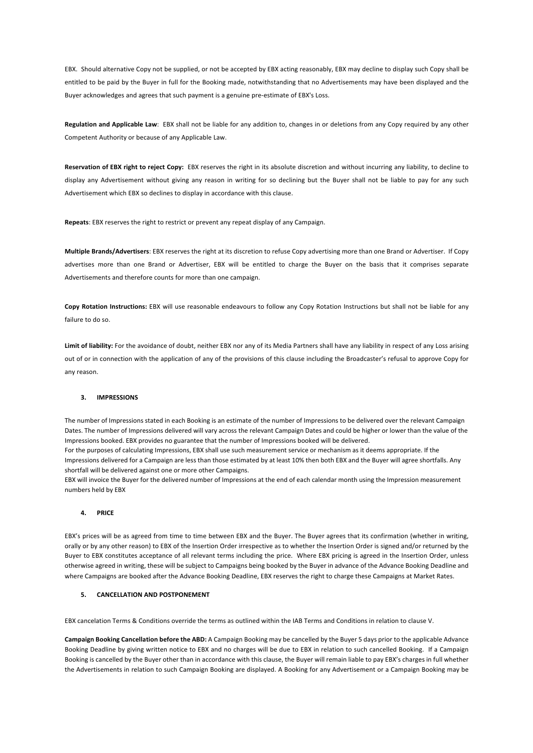EBX. Should alternative Copy not be supplied, or not be accepted by EBX acting reasonably, EBX may decline to display such Copy shall be entitled to be paid by the Buyer in full for the Booking made, notwithstanding that no Advertisements may have been displayed and the Buyer acknowledges and agrees that such payment is a genuine pre-estimate of EBX's Loss.

**Regulation and Applicable Law**: EBX shall not be liable for any addition to, changes in or deletions from any Copy required by any other Competent Authority or because of any Applicable Law.

**Reservation of EBX right to reject Copy:** EBX reserves the right in its absolute discretion and without incurring any liability, to decline to display any Advertisement without giving any reason in writing for so declining but the Buyer shall not be liable to pay for any such Advertisement which EBX so declines to display in accordance with this clause.

**Repeats**: EBX reserves the right to restrict or prevent any repeat display of any Campaign.

**Multiple Brands/Advertisers**: EBX reserves the right at its discretion to refuse Copy advertising more than one Brand or Advertiser. If Copy advertises more than one Brand or Advertiser, EBX will be entitled to charge the Buyer on the basis that it comprises separate Advertisements and therefore counts for more than one campaign.

**Copy Rotation Instructions:** EBX will use reasonable endeavours to follow any Copy Rotation Instructions but shall not be liable for any failure to do so.

**Limit of liability:** For the avoidance of doubt, neither EBX nor any of its Media Partners shall have any liability in respect of any Loss arising out of or in connection with the application of any of the provisions of this clause including the Broadcaster's refusal to approve Copy for any reason.

### **3. IMPRESSIONS**

The number of Impressions stated in each Booking is an estimate of the number of Impressions to be delivered over the relevant Campaign Dates. The number of Impressions delivered will vary across the relevant Campaign Dates and could be higher or lower than the value of the Impressions booked. EBX provides no guarantee that the number of Impressions booked will be delivered.

For the purposes of calculating Impressions, EBX shall use such measurement service or mechanism as it deems appropriate. If the Impressions delivered for a Campaign are less than those estimated by at least 10% then both EBX and the Buyer will agree shortfalls. Any shortfall will be delivered against one or more other Campaigns.

EBX will invoice the Buyer for the delivered number of Impressions at the end of each calendar month using the Impression measurement numbers held by EBX

## **4. PRICE**

EBX's prices will be as agreed from time to time between EBX and the Buyer. The Buyer agrees that its confirmation (whether in writing, orally or by any other reason) to EBX of the Insertion Order irrespective as to whether the Insertion Order is signed and/or returned by the Buyer to EBX constitutes acceptance of all relevant terms including the price. Where EBX pricing is agreed in the Insertion Order, unless otherwise agreed in writing, these will be subject to Campaigns being booked by the Buyer in advance of the Advance Booking Deadline and where Campaigns are booked after the Advance Booking Deadline, EBX reserves the right to charge these Campaigns at Market Rates.

## **5. CANCELLATION AND POSTPONEMENT**

EBX cancelation Terms & Conditions override the terms as outlined within the IAB Terms and Conditions in relation to clause V.

**Campaign Booking Cancellation before the ABD:** A Campaign Booking may be cancelled by the Buyer 5 days prior to the applicable Advance Booking Deadline by giving written notice to EBX and no charges will be due to EBX in relation to such cancelled Booking. If a Campaign Booking is cancelled by the Buyer other than in accordance with this clause, the Buyer will remain liable to pay EBX's charges in full whether the Advertisements in relation to such Campaign Booking are displayed. A Booking for any Advertisement or a Campaign Booking may be